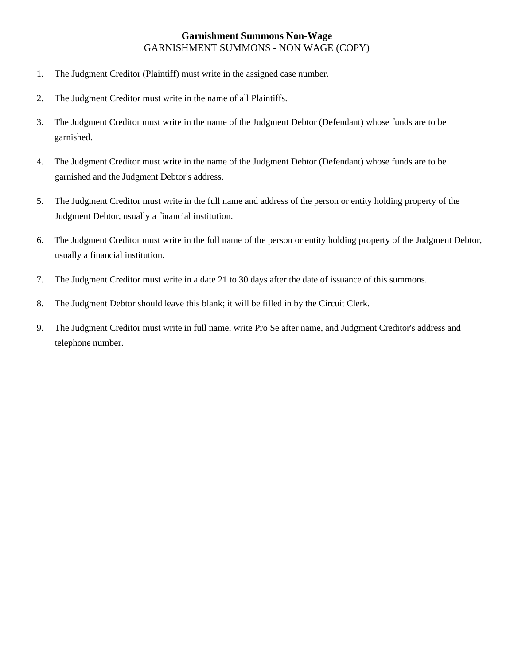## GARNISHMENT SUMMONS - NON WAGE (COPY) **Garnishment Summons Non-Wage**

- 1. The Judgment Creditor (Plaintiff) must write in the assigned case number.
- 2. The Judgment Creditor must write in the name of all Plaintiffs.
- 3. The Judgment Creditor must write in the name of the Judgment Debtor (Defendant) whose funds are to be garnished.
- 4. The Judgment Creditor must write in the name of the Judgment Debtor (Defendant) whose funds are to be garnished and the Judgment Debtor's address.
- 5. The Judgment Creditor must write in the full name and address of the person or entity holding property of the Judgment Debtor, usually a financial institution.
- 6. The Judgment Creditor must write in the full name of the person or entity holding property of the Judgment Debtor, usually a financial institution.
- 7. The Judgment Creditor must write in a date 21 to 30 days after the date of issuance of this summons.
- 8. The Judgment Debtor should leave this blank; it will be filled in by the Circuit Clerk.
- 9. The Judgment Creditor must write in full name, write Pro Se after name, and Judgment Creditor's address and telephone number.